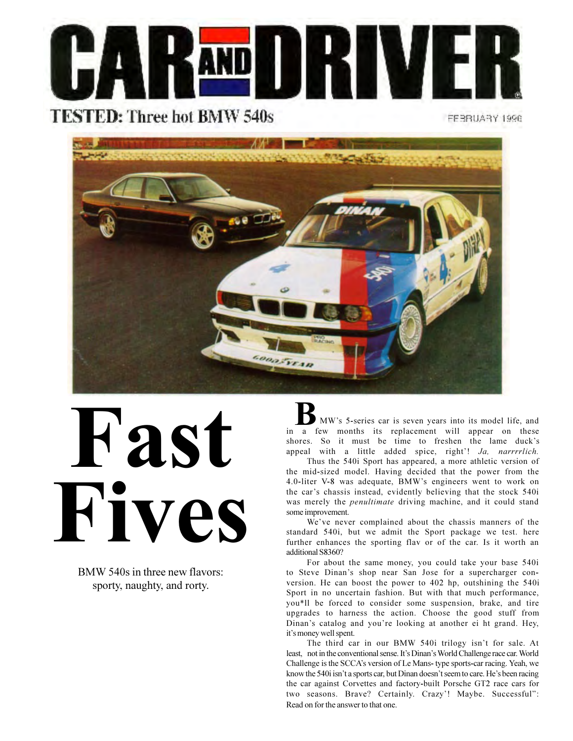

# **TESTED: Three hot BMW 540s**

FEBRUARY 1996



# **Fast Fives**

BMW 540s in three new flavors: sporty, naughty, and rorty.

MWs 5-series car is seven years into its model life, and in a few months its replacement will appear on these shores. So it must be time to freshen the lame duck's appeal with a little added spice, right'! *Ja, narrrrlich*. **B**

Thus the 540i Sport has appeared, a more athletic version of the mid-sized model. Having decided that the power from the 4.0-liter V-8 was adequate, BMW's engineers went to work on the car's chassis instead, evidently believing that the stock 540i was merely the *penultimate* driving machine, and it could stand some improvement.

We've never complained about the chassis manners of the standard 540i, but we admit the Sport package we test. here further enhances the sporting flav or of the car. Is it worth an additional S8360?

For about the same money, you could take your base 540i to Steve Dinan's shop near San Jose for a supercharger conversion. He can boost the power to 402 hp, outshining the 540i Sport in no uncertain fashion. But with that much performance, you\*ll be forced to consider some suspension, brake, and tire upgrades to harness the action. Choose the good stuff from Dinan's catalog and you're looking at another ei ht grand. Hey, it's money well spent.

The third car in our BMW 540i trilogy isn't for sale. At least, not in the conventional sense. It's Dinan's World Challenge race car. World Challenge is the SCCA's version of Le Mans- type sports-car racing. Yeah, we know the 540i isn't a sports car, but Dinan doesn't seem to care. He's been racing the car against Corvettes and factory-built Porsche GT2 race cars for two seasons. Brave? Certainly. Crazy'! Maybe. Successful": Read on for the answer to that one.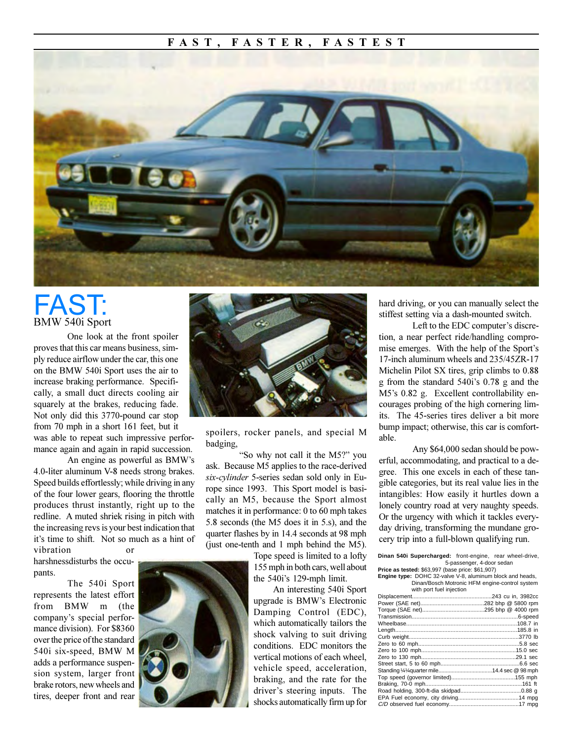### **F A S T , F A S T E R , F A S T E S T**



# FAST: BMW 540i Sport

One look at the front spoiler proves that this car means business, simply reduce airflow under the car, this one on the BMW 540i Sport uses the air to increase braking performance. Specifically, a small duct directs cooling air squarely at the brakes, reducing fade. Not only did this 3770-pound car stop from 70 mph in a short 161 feet, but it was able to repeat such impressive performance again and again in rapid succession.

An engine as powerful as BMWs 4.0-liter aluminum V-8 needs strong brakes. Speed builds effortlessly; while driving in any of the four lower gears, flooring the throttle produces thrust instantly, right up to the redline. A muted shriek rising in pitch with the increasing revs is your best indication that it's time to shift. Not so much as a hint of vibration or

harshnessdisturbs the occupants.

The 540i Sport represents the latest effort from BMW m (the company's special performance division). For \$8360 over the price of the standard 540i six-speed, BMW M adds a performance suspension system, larger front brake rotors, new wheels and tires, deeper front and rear



spoilers, rocker panels, and special M badging,

"So why not call it the M5?" you ask. Because M5 applies to the race-derived *six-cylinder* 5-series sedan sold only in Europe since 1993. This Sport model is basically an M5, because the Sport almost matches it in performance: 0 to 60 mph takes 5.8 seconds (the M5 does it in 5.s), and the quarter flashes by in 14.4 seconds at 98 mph (just one-tenth and 1 mph behind the M5).

Tope speed is limited to a lofty 155 mph in both cars, well about the 540i's 129-mph limit.

An interesting 540i Sport upgrade is BMWs Electronic Damping Control (EDC), which automatically tailors the shock valving to suit driving conditions. EDC monitors the vertical motions of each wheel, vehicle speed, acceleration, braking, and the rate for the driver's steering inputs. The shocks automatically firm up for

hard driving, or you can manually select the stiffest setting via a dash-mounted switch.

Left to the EDC computer's discretion, a near perfect ride/handling compromise emerges. With the help of the Sport's 17-inch aluminum wheels and 235/45ZR-17 Michelin Pilot SX tires, grip climbs to 0.88 g from the standard 540is 0.78 g and the M5's 0.82 g. Excellent controllability encourages probing of the high cornering limits. The 45-series tires deliver a bit more bump impact; otherwise, this car is comfortable.

Any \$64,000 sedan should be powerful, accommodating, and practical to a degree. This one excels in each of these tangible categories, but its real value lies in the intangibles: How easily it hurtles down a lonely country road at very naughty speeds. Or the urgency with which it tackles everyday driving, transforming the mundane grocery trip into a full-blown qualifying run.

|                           |                                                                                   |  | Dinan 540i Supercharged: front-engine, rear wheel-drive, |  |  |
|---------------------------|-----------------------------------------------------------------------------------|--|----------------------------------------------------------|--|--|
| 5-passenger, 4-door sedan |                                                                                   |  |                                                          |  |  |
|                           | <b>Price as tostad: <math>\$62,007</math> (base price: <math>\$64,007</math>)</b> |  |                                                          |  |  |

**Price as tested:** \$63,997 (base price: \$61,907) **Engine type:** DOHC 32-valve V-8, aluminum block and heads, Dinan/Bosch Motronic HFM engine-control system

| with port fuel injection |  |
|--------------------------|--|
|                          |  |
|                          |  |
|                          |  |
|                          |  |
|                          |  |
|                          |  |
|                          |  |
|                          |  |
|                          |  |
|                          |  |
|                          |  |
|                          |  |
|                          |  |
|                          |  |
|                          |  |
|                          |  |
|                          |  |

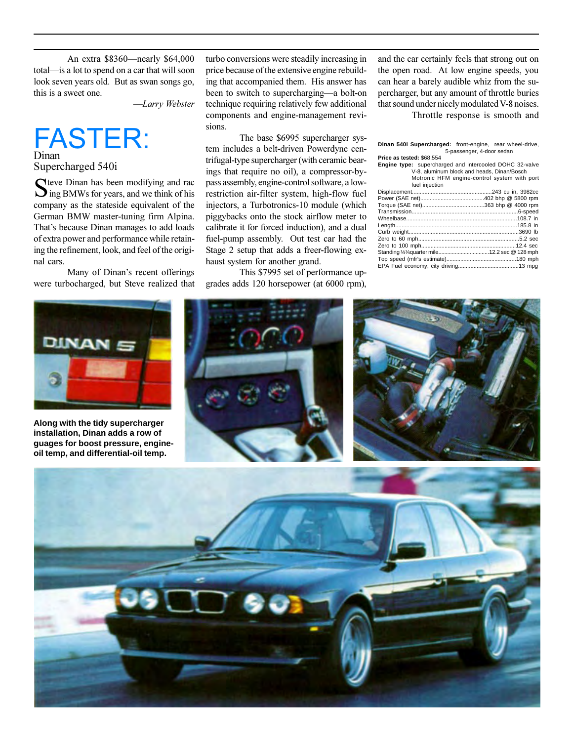An extra \$8360—nearly \$64,000 total—is a lot to spend on a car that will soon look seven years old. But as swan songs go, this is a sweet one.

*Larry Webster*

# FASTER: Dinan

Supercharged 540i

Steve Dinan has been modifying and racking BMWs for years, and we think of his company as the stateside equivalent of the German BMW master-tuning firm Alpina. That's because Dinan manages to add loads of extra power and performance while retaining the refinement, look, and feel of the original cars.

Many of Dinan's recent offerings were turbocharged, but Steve realized that turbo conversions were steadily increasing in price because of the extensive engine rebuilding that accompanied them. His answer has been to switch to supercharging-a bolt-on technique requiring relatively few additional components and engine-management revisions.

The base \$6995 supercharger system includes a belt-driven Powerdyne centrifugal-type supercharger (with ceramic bearings that require no oil), a compressor-bypass assembly, engine-control software, a lowrestriction air-filter system, high-flow fuel injectors, a Turbotronics-10 module (which piggybacks onto the stock airflow meter to calibrate it for forced induction), and a dual fuel-pump assembly. Out test car had the Stage 2 setup that adds a freer-flowing exhaust system for another grand.

This \$7995 set of performance upgrades adds 120 horsepower (at 6000 rpm), and the car certainly feels that strong out on the open road. At low engine speeds, you can hear a barely audible whiz from the supercharger, but any amount of throttle buries that sound under nicely modulated V-8 noises.

Throttle response is smooth and

**Dinan 540i Supercharged:** front-engine, rear wheel-drive, 5-passenger, 4-door sedan **Price as tested:** \$68,554

**Engine type:** supercharged and intercooled DOHC 32-valve V-8, aluminum block and heads, Dinan/Bosch

| v-o. alullillulli block allu littaus. Dillali/Doscil |  |  |
|------------------------------------------------------|--|--|
| Motronic HFM engine-control system with port         |  |  |
| fuel injection                                       |  |  |
|                                                      |  |  |
|                                                      |  |  |
|                                                      |  |  |
|                                                      |  |  |
|                                                      |  |  |
|                                                      |  |  |
|                                                      |  |  |
|                                                      |  |  |
|                                                      |  |  |
|                                                      |  |  |

Top speed (mfr's estimate).............................................180 mph EPA Fuel economy, city driving.......................................13 mpg

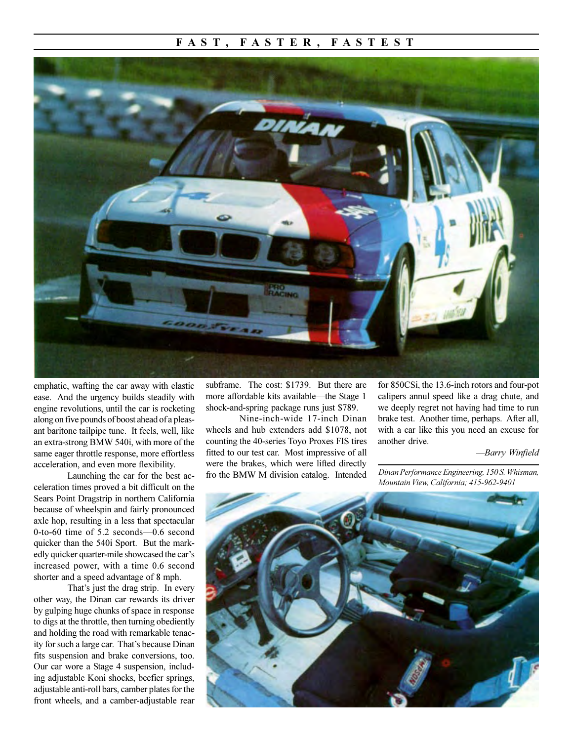### **F A S T , F A S T E R , F A S T E S T**



emphatic, wafting the car away with elastic ease. And the urgency builds steadily with engine revolutions, until the car is rocketing along on five pounds of boost ahead of a pleasant baritone tailpipe tune. It feels, well, like an extra-strong BMW 540i, with more of the same eager throttle response, more effortless acceleration, and even more flexibility.

Launching the car for the best acceleration times proved a bit difficult on the Sears Point Dragstrip in northern California because of wheelspin and fairly pronounced axle hop, resulting in a less that spectacular 0-to-60 time of  $5.2$  seconds-0.6 second quicker than the 540i Sport. But the markedly quicker quarter-mile showcased the car's increased power, with a time 0.6 second shorter and a speed advantage of 8 mph.

That's just the drag strip. In every other way, the Dinan car rewards its driver by gulping huge chunks of space in response to digs at the throttle, then turning obediently and holding the road with remarkable tenacity for such a large car. That's because Dinan fits suspension and brake conversions, too. Our car wore a Stage 4 suspension, including adjustable Koni shocks, beefier springs, adjustable anti-roll bars, camber plates for the front wheels, and a camber-adjustable rear

subframe. The cost: \$1739. But there are more affordable kits available-the Stage 1 shock-and-spring package runs just \$789.

Nine-inch-wide 17-inch Dinan wheels and hub extenders add \$1078, not counting the 40-series Toyo Proxes FIS tires fitted to our test car. Most impressive of all were the brakes, which were lifted directly fro the BMW M division catalog. Intended for 850CSi, the 13.6-inch rotors and four-pot calipers annul speed like a drag chute, and we deeply regret not having had time to run brake test. Another time, perhaps. After all, with a car like this you need an excuse for another drive.

*Barry Winfield*

*Dinan Performance Engineering, 150 S. Whisman, Mountain View, California; 415-962-9401*